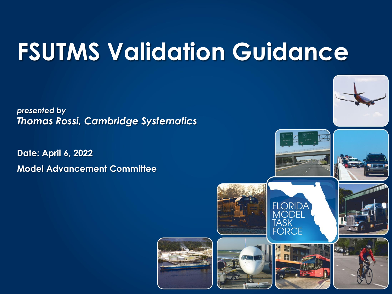# **FSUTMS Validation Guidance**

*presented by Thomas Rossi, Cambridge Systematics*

**Date: April 6, 2022 Model Advancement Committee**



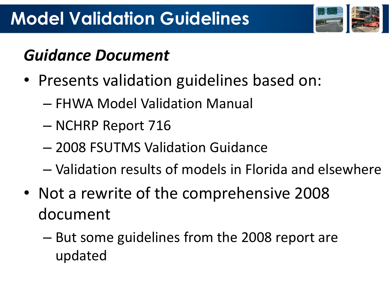

### *Guidance Document*

- Presents validation guidelines based on:
	- FHWA Model Validation Manual
	- NCHRP Report 716
	- 2008 FSUTMS Validation Guidance
	- Validation results of models in Florida and elsewhere
- Not a rewrite of the comprehensive 2008 document
	- But some guidelines from the 2008 report are updated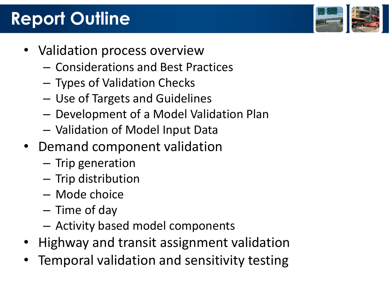## **Report Outline**

- Validation process overview
	- Considerations and Best Practices
	- Types of Validation Checks
	- Use of Targets and Guidelines
	- Development of a Model Validation Plan
	- Validation of Model Input Data
- Demand component validation
	- Trip generation
	- Trip distribution
	- Mode choice
	- Time of day
	- Activity based model components
- Highway and transit assignment validation
- Temporal validation and sensitivity testing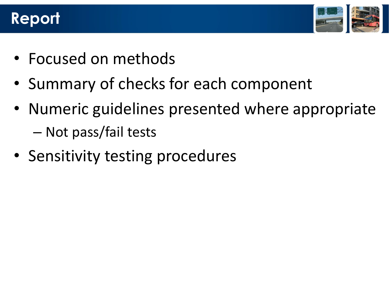#### **Report**



- Focused on methods
- Summary of checks for each component
- Numeric guidelines presented where appropriate
	- Not pass/fail tests
- Sensitivity testing procedures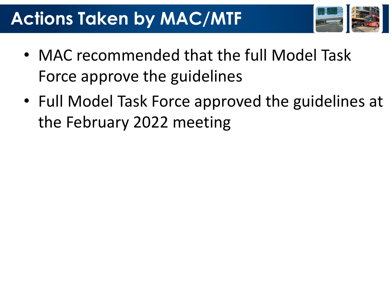## **Actions Taken by MAC/MTF**



- MAC recommended that the full Model Task Force approve the guidelines
- Full Model Task Force approved the guidelines at the February 2022 meeting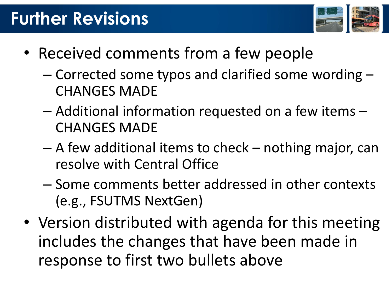## **Further Revisions**



- Received comments from a few people
	- Corrected some typos and clarified some wording CHANGES MADE
	- Additional information requested on a few items CHANGES MADE
	- A few additional items to check nothing major, can resolve with Central Office
	- Some comments better addressed in other contexts (e.g., FSUTMS NextGen)
- Version distributed with agenda for this meeting includes the changes that have been made in response to first two bullets above